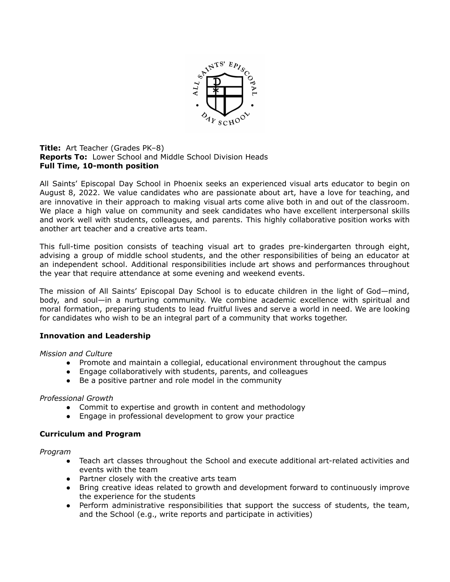

#### **Title:** Art Teacher (Grades PK–8) **Reports To:** Lower School and Middle School Division Heads **Full Time, 10-month position**

All Saints' Episcopal Day School in Phoenix seeks an experienced visual arts educator to begin on August 8, 2022. We value candidates who are passionate about art, have a love for teaching, and are innovative in their approach to making visual arts come alive both in and out of the classroom. We place a high value on community and seek candidates who have excellent interpersonal skills and work well with students, colleagues, and parents. This highly collaborative position works with another art teacher and a creative arts team.

This full-time position consists of teaching visual art to grades pre-kindergarten through eight, advising a group of middle school students, and the other responsibilities of being an educator at an independent school. Additional responsibilities include art shows and performances throughout the year that require attendance at some evening and weekend events.

The mission of All Saints' Episcopal Day School is to educate children in the light of God—mind, body, and soul—in a nurturing community. We combine academic excellence with spiritual and moral formation, preparing students to lead fruitful lives and serve a world in need. We are looking for candidates who wish to be an integral part of a community that works together.

# **Innovation and Leadership**

## *Mission and Culture*

- Promote and maintain a collegial, educational environment throughout the campus
- Engage collaboratively with students, parents, and colleagues
- Be a positive partner and role model in the community

## *Professional Growth*

- Commit to expertise and growth in content and methodology
- Engage in professional development to grow your practice

## **Curriculum and Program**

## *Program*

- Teach art classes throughout the School and execute additional art-related activities and events with the team
- Partner closely with the creative arts team
- Bring creative ideas related to growth and development forward to continuously improve the experience for the students
- Perform administrative responsibilities that support the success of students, the team, and the School (e.g., write reports and participate in activities)